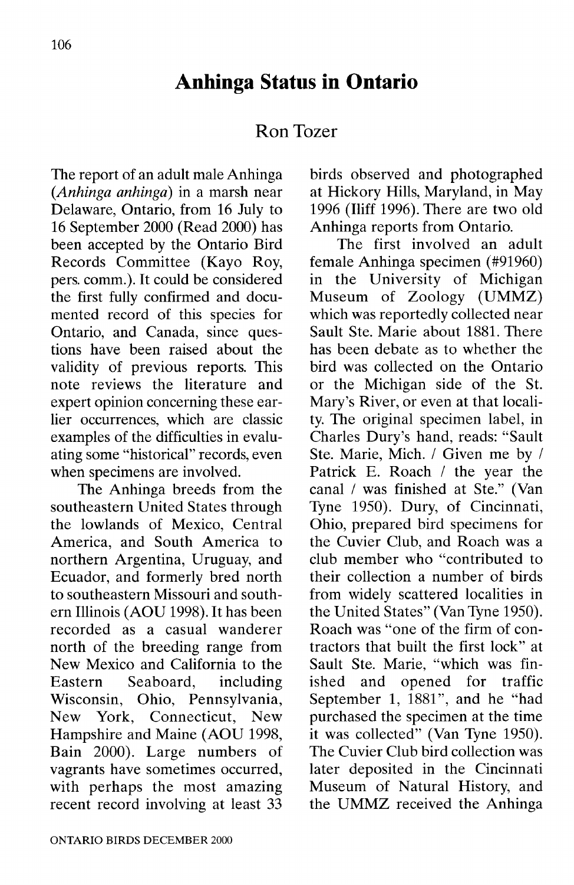## **Anhinga Statns in Ontario**

## **Ron** Tozer

The report of an adult male Anhinga *(Anhinga anhinga)* in a marsh near Delaware, Ontario, from 16 July to 16 September 2000 (Read 2000) has been accepted by the Ontario Bird Records Committee (Kayo Roy, pers. comm.). It could be considered the first fully confirmed and documented record of this species for Ontario, and Canada, since questions have been raised about the validity of previous reports. This note reviews the literature and expert opinion concerning these earlier occurrences, which are classic examples of the difficulties in evaluating some "historical" records, even when specimens are involved.

The Anhinga breeds from the southeastern United States through the lowlands of Mexico, Central America, and South America to northern Argentina, Uruguay, and Ecuador, and formerly bred north to southeastern Missouri and southern Illinois (AOD 1998). It has been recorded as a casual wanderer north of the breeding range from New Mexico and California to the Eastern Seaboard, including Wisconsin, Ohio, Pennsylvania, New York, Connecticut, New Hampshire and Maine (AOU 1998, Bain 2000). Large numbers of vagrants have sometimes occurred, with perhaps the most amazing recent record involving at least 33 birds observed and photographed at Hickory Hills, Maryland, in May 1996 (Iliff 1996). There are two old Anhinga reports from Ontario.

The first involved an adult female Anhinga specimen (#91960) in the University of Michigan Museum of Zoology (UMMZ) which was reportedly collected near Sault Ste. Marie about 1881. There has been debate as to whether the bird was collected on the Ontario or the Michigan side of the St. Mary's River, or even at that locality. The original specimen label, in Charles Dury's hand, reads: "Sault Ste. Marie, Mich. / Given me by / Patrick E. Roach / the year the canal/was finished at Ste." (Van Tyne 1950). Dury, of Cincinnati, Ohio, prepared bird specimens for the Cuvier Club, and Roach was a club member who "contributed to their collection a number of birds from widely scattered localities in the United States" (Van Tyne 1950). Roach was "one of the firm of contractors that built the first lock" at Sault Ste. Marie, "which was finished and opened for traffic September 1, 1881", and he "had purchased the specimen at the time it was collected" (Van Tyne 1950). The Cuvier Club bird collection was later deposited in the Cincinnati Museum of Natural History, and the DMMZ received the Anhinga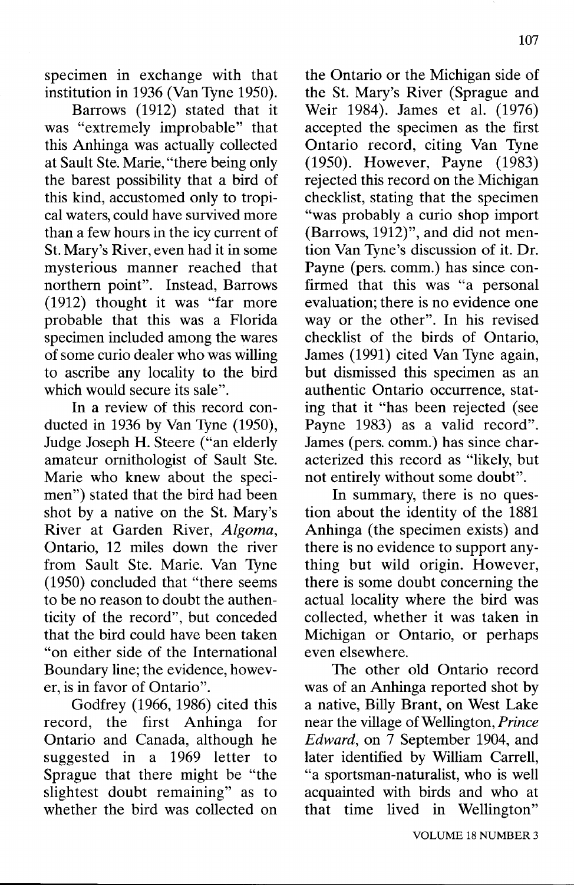specimen in exchange with that institution in 1936 (Van Tyne 1950).

Barrows (1912) stated that it was "extremely improbable" that this Anhinga was actually collected at Sault Ste. Marie, "there being only the barest possibility that a bird of this kind, accustomed only to tropical waters, could have survived more than a few hours in the icy current of St. Mary's River, even had it in some mysterious manner reached that northern point". Instead, Barrows (1912) thought it was "far more probable that this was a Florida specimen included among the wares ofsome curio dealer who was willing to ascribe any locality to the bird which would secure its sale".

In a review of this record conducted in 1936 by Van Tyne (1950), Judge Joseph H. Steere ("an elderly amateur ornithologist of Sault Ste. Marie who knew about the specimen") stated that the bird had been shot by a native on the St. Mary's River at Garden River, *Algoma,* Ontario, 12 miles down the river from Sault Ste. Marie. Van Tyne (1950) concluded that "there seems to be no reason to doubt the authenticity of the record", but conceded that the bird could have been taken "on either side of the International Boundary line; the evidence, however, is in favor of Ontario".

Godfrey (1966, 1986) cited this record, the first Anhinga for Ontario and Canada, although he suggested in a 1969 letter to Sprague that there might be "the slightest doubt remaining" as to whether the bird was collected on

the Ontario or the Michigan side of the St. Mary's River (Sprague and Weir 1984). James et al. (1976) accepted the specimen as the first Ontario record, citing Van Tyne (1950). However, Payne (1983) rejected this record on the Michigan checklist, stating that the specimen "was probably a curio shop import (Barrows, 1912)", and did not mention Van Tyne's discussion of it. Dr. Payne (pers. comm.) has since confirmed that this was "a personal evaluation; there is no evidence one way or the other". In his revised checklist of the birds of Ontario, James (1991) cited Van Tyne again, but dismissed this specimen as an authentic Ontario occurrence, stating that it "has been rejected (see Payne 1983) as a valid record". James (pers. comm.) has since characterized this record as "likely, but not entirely without some doubt".

In summary, there is no question about the identity of the 1881 Anhinga (the specimen exists) and there is no evidence to support anything but wild origin. However, there is some doubt concerning the actual locality where the bird was collected, whether it was taken in Michigan or Ontario, or perhaps even elsewhere.

The other old Ontario record was of an Anhinga reported shot by a native, Billy Brant, on West Lake near the village ofWellington, *Prince Edward,* on 7 September 1904, and later identified by William Carrell, "a sportsman-naturalist, who is well acquainted with birds and who at that time lived in Wellington"